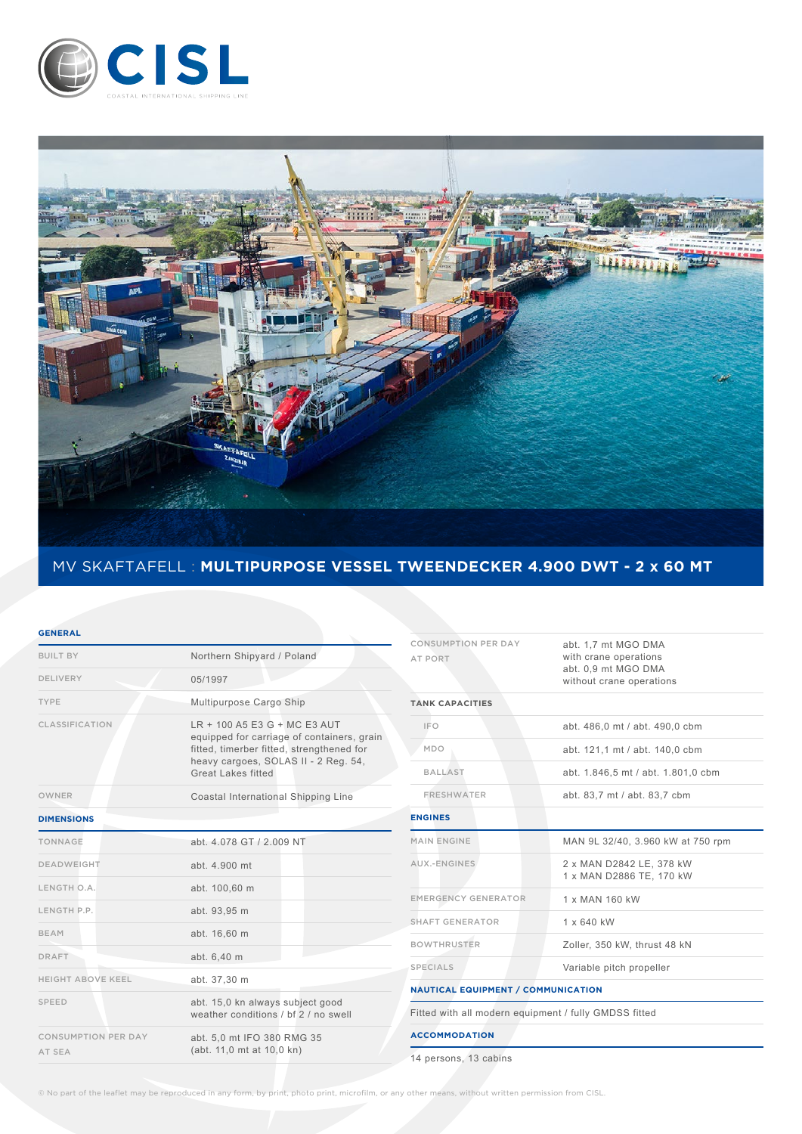



## MV SKAFTAFELL : **MULTIPURPOSE VESSEL TWEENDECKER 4.900 DWT - 2 x 60 MT**

## **GENERAL**

| <b>BUILT BY</b>                      | Northern Shipyard / Poland                                                                                                                                                                   |  |  |
|--------------------------------------|----------------------------------------------------------------------------------------------------------------------------------------------------------------------------------------------|--|--|
| DELIVERY                             | 05/1997                                                                                                                                                                                      |  |  |
| <b>TYPE</b>                          | Multipurpose Cargo Ship                                                                                                                                                                      |  |  |
| CLASSIFICATION                       | LR + 100 A5 E3 G + MC E3 AUT<br>equipped for carriage of containers, grain<br>fitted, timerber fitted, strengthened for<br>heavy cargoes, SOLAS II - 2 Reg. 54,<br><b>Great Lakes fitted</b> |  |  |
| <b>OWNER</b>                         | Coastal International Shipping Line                                                                                                                                                          |  |  |
| <b>DIMENSIONS</b>                    |                                                                                                                                                                                              |  |  |
| TONNAGE                              | abt. 4.078 GT / 2.009 NT                                                                                                                                                                     |  |  |
| <b>DEADWEIGHT</b>                    | abt. 4.900 mt                                                                                                                                                                                |  |  |
| LENGTH O.A.                          | abt. 100,60 m                                                                                                                                                                                |  |  |
| LENGTH P.P.                          | abt. 93,95 m                                                                                                                                                                                 |  |  |
| <b>BEAM</b>                          | abt. 16,60 m                                                                                                                                                                                 |  |  |
| <b>DRAFT</b>                         | abt. 6,40 m                                                                                                                                                                                  |  |  |
| <b>HEIGHT ABOVE KEEL</b>             | abt. 37,30 m                                                                                                                                                                                 |  |  |
| <b>SPEED</b>                         | abt. 15,0 kn always subject good<br>weather conditions / bf 2 / no swell                                                                                                                     |  |  |
| <b>CONSUMPTION PER DAY</b><br>AT SEA | abt. 5,0 mt IFO 380 RMG 35<br>(abt. 11,0 mt at 10,0 kn)                                                                                                                                      |  |  |

| <b>CONSUMPTION PER DAY</b>                            | abt. 1,7 mt MGO DMA                |  |  |  |  |  |
|-------------------------------------------------------|------------------------------------|--|--|--|--|--|
| <b>AT PORT</b>                                        | with crane operations              |  |  |  |  |  |
|                                                       | abt. 0,9 mt MGO DMA                |  |  |  |  |  |
|                                                       | without crane operations           |  |  |  |  |  |
| <b>TANK CAPACITIES</b>                                |                                    |  |  |  |  |  |
| <b>IFO</b>                                            | abt. 486,0 mt / abt. 490,0 cbm     |  |  |  |  |  |
| MDO                                                   | abt. 121,1 mt / abt. 140,0 cbm     |  |  |  |  |  |
| <b>BALLAST</b>                                        | abt. 1.846,5 mt / abt. 1.801,0 cbm |  |  |  |  |  |
| <b>FRESHWATER</b>                                     | abt. 83,7 mt / abt. 83,7 cbm       |  |  |  |  |  |
| <b>ENGINES</b>                                        |                                    |  |  |  |  |  |
| <b>MAIN ENGINE</b>                                    | MAN 9L 32/40, 3.960 kW at 750 rpm  |  |  |  |  |  |
| AUX.-ENGINES                                          | 2 x MAN D2842 LE, 378 kW           |  |  |  |  |  |
|                                                       | 1 x MAN D2886 TE, 170 kW           |  |  |  |  |  |
| <b>EMERGENCY GENERATOR</b>                            | 1 x MAN 160 kW                     |  |  |  |  |  |
| <b>SHAFT GENERATOR</b>                                | 1 x 640 kW                         |  |  |  |  |  |
| <b>BOWTHRUSTER</b>                                    | Zoller, 350 kW, thrust 48 kN       |  |  |  |  |  |
| <b>SPECIALS</b>                                       | Variable pitch propeller           |  |  |  |  |  |
| <b>NAUTICAL EQUIPMENT / COMMUNICATION</b>             |                                    |  |  |  |  |  |
| Fitted with all modern equipment / fully GMDSS fitted |                                    |  |  |  |  |  |
| <b>ACCOMMODATION</b>                                  |                                    |  |  |  |  |  |
| 14 persons, 13 cabins                                 |                                    |  |  |  |  |  |

© No part of the leaflet may be reproduced in any form, by print, photo print, microfilm, or any other means, without written permission from CISL.